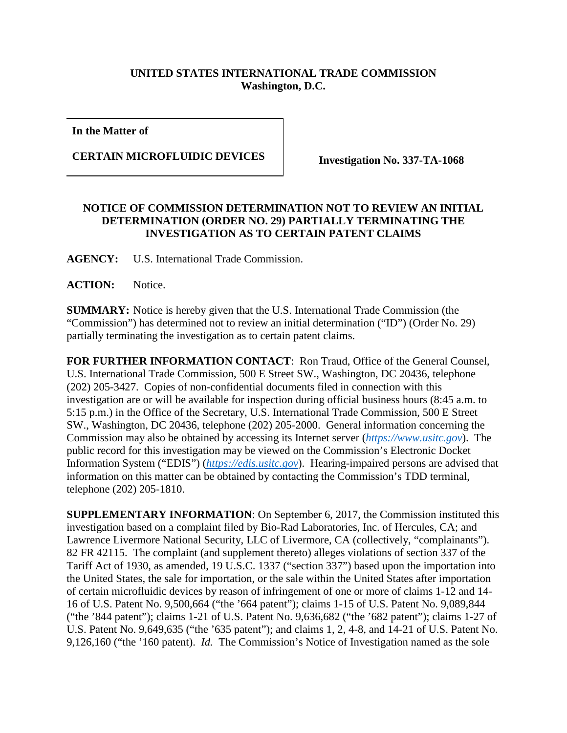## **UNITED STATES INTERNATIONAL TRADE COMMISSION Washington, D.C.**

**In the Matter of**

**CERTAIN MICROFLUIDIC DEVICES Investigation No. 337-TA-1068**

## **NOTICE OF COMMISSION DETERMINATION NOT TO REVIEW AN INITIAL DETERMINATION (ORDER NO. 29) PARTIALLY TERMINATING THE INVESTIGATION AS TO CERTAIN PATENT CLAIMS**

**AGENCY:** U.S. International Trade Commission.

**ACTION:** Notice.

**SUMMARY:** Notice is hereby given that the U.S. International Trade Commission (the "Commission") has determined not to review an initial determination ("ID") (Order No. 29) partially terminating the investigation as to certain patent claims.

**FOR FURTHER INFORMATION CONTACT**: Ron Traud, Office of the General Counsel, U.S. International Trade Commission, 500 E Street SW., Washington, DC 20436, telephone (202) 205-3427. Copies of non-confidential documents filed in connection with this investigation are or will be available for inspection during official business hours (8:45 a.m. to 5:15 p.m.) in the Office of the Secretary, U.S. International Trade Commission, 500 E Street SW., Washington, DC 20436, telephone (202) 205-2000. General information concerning the Commission may also be obtained by accessing its Internet server (*[https://www.usitc.gov](https://www.usitc.gov/)*). The public record for this investigation may be viewed on the Commission's Electronic Docket Information System ("EDIS") (*[https://edis.usitc.gov](https://edis.usitc.gov/)*). Hearing-impaired persons are advised that information on this matter can be obtained by contacting the Commission's TDD terminal, telephone (202) 205-1810.

**SUPPLEMENTARY INFORMATION**: On September 6, 2017, the Commission instituted this investigation based on a complaint filed by Bio-Rad Laboratories, Inc. of Hercules, CA; and Lawrence Livermore National Security, LLC of Livermore, CA (collectively, "complainants"). 82 FR 42115. The complaint (and supplement thereto) alleges violations of section 337 of the Tariff Act of 1930, as amended, 19 U.S.C. 1337 ("section 337") based upon the importation into the United States, the sale for importation, or the sale within the United States after importation of certain microfluidic devices by reason of infringement of one or more of claims 1-12 and 14- 16 of U.S. Patent No. 9,500,664 ("the '664 patent"); claims 1-15 of U.S. Patent No. 9,089,844 ("the '844 patent"); claims 1-21 of U.S. Patent No. 9,636,682 ("the '682 patent"); claims 1-27 of U.S. Patent No. 9,649,635 ("the '635 patent"); and claims 1, 2, 4-8, and 14-21 of U.S. Patent No. 9,126,160 ("the '160 patent). *Id.* The Commission's Notice of Investigation named as the sole